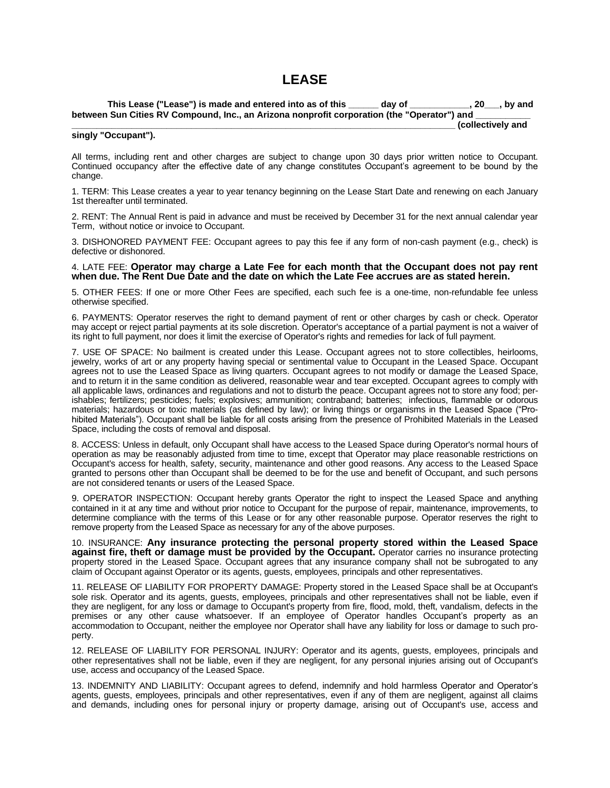# **LEASE**

**This Lease ("Lease") is made and entered into as of this \_\_\_\_\_\_ day of \_\_\_\_\_\_\_\_\_\_\_\_, 20\_\_\_, by and**  between Sun Cities RV Compound, Inc., an Arizona nonprofit corporation (the "Operator") and **\_\_\_\_\_\_\_\_\_\_\_\_\_\_\_\_\_\_\_\_\_\_\_\_\_\_\_\_\_\_\_\_\_\_\_\_\_\_\_\_\_\_\_\_\_\_\_\_\_\_\_\_\_\_\_\_\_\_\_\_\_\_\_\_\_\_\_\_\_\_\_\_\_\_\_\_\_ (collectively and** 

## **singly "Occupant").**

All terms, including rent and other charges are subject to change upon 30 days prior written notice to Occupant. Continued occupancy after the effective date of any change constitutes Occupant's agreement to be bound by the change.

1. TERM: This Lease creates a year to year tenancy beginning on the Lease Start Date and renewing on each January 1st thereafter until terminated.

2. RENT: The Annual Rent is paid in advance and must be received by December 31 for the next annual calendar year Term, without notice or invoice to Occupant.

3. DISHONORED PAYMENT FEE: Occupant agrees to pay this fee if any form of non-cash payment (e.g., check) is defective or dishonored.

## 4. LATE FEE: **Operator may charge a Late Fee for each month that the Occupant does not pay rent when due. The Rent Due Date and the date on which the Late Fee accrues are as stated herein.**

5. OTHER FEES: If one or more Other Fees are specified, each such fee is a one-time, non-refundable fee unless otherwise specified.

6. PAYMENTS: Operator reserves the right to demand payment of rent or other charges by cash or check. Operator may accept or reject partial payments at its sole discretion. Operator's acceptance of a partial payment is not a waiver of its right to full payment, nor does it limit the exercise of Operator's rights and remedies for lack of full payment.

7. USE OF SPACE: No bailment is created under this Lease. Occupant agrees not to store collectibles, heirlooms, jewelry, works of art or any property having special or sentimental value to Occupant in the Leased Space. Occupant agrees not to use the Leased Space as living quarters. Occupant agrees to not modify or damage the Leased Space, and to return it in the same condition as delivered, reasonable wear and tear excepted. Occupant agrees to comply with all applicable laws, ordinances and regulations and not to disturb the peace. Occupant agrees not to store any food; perishables; fertilizers; pesticides; fuels; explosives; ammunition; contraband; batteries; infectious, flammable or odorous materials; hazardous or toxic materials (as defined by law); or living things or organisms in the Leased Space ("Prohibited Materials"). Occupant shall be liable for all costs arising from the presence of Prohibited Materials in the Leased Space, including the costs of removal and disposal.

8. ACCESS: Unless in default, only Occupant shall have access to the Leased Space during Operator's normal hours of operation as may be reasonably adjusted from time to time, except that Operator may place reasonable restrictions on Occupant's access for health, safety, security, maintenance and other good reasons. Any access to the Leased Space granted to persons other than Occupant shall be deemed to be for the use and benefit of Occupant, and such persons are not considered tenants or users of the Leased Space.

9. OPERATOR INSPECTION: Occupant hereby grants Operator the right to inspect the Leased Space and anything contained in it at any time and without prior notice to Occupant for the purpose of repair, maintenance, improvements, to determine compliance with the terms of this Lease or for any other reasonable purpose. Operator reserves the right to remove property from the Leased Space as necessary for any of the above purposes.

10. INSURANCE: **Any insurance protecting the personal property stored within the Leased Space against fire, theft or damage must be provided by the Occupant.** Operator carries no insurance protecting property stored in the Leased Space. Occupant agrees that any insurance company shall not be subrogated to any claim of Occupant against Operator or its agents, guests, employees, principals and other representatives.

11. RELEASE OF LIABILITY FOR PROPERTY DAMAGE: Property stored in the Leased Space shall be at Occupant's sole risk. Operator and its agents, guests, employees, principals and other representatives shall not be liable, even if they are negligent, for any loss or damage to Occupant's property from fire, flood, mold, theft, vandalism, defects in the premises or any other cause whatsoever. If an employee of Operator handles Occupant's property as an accommodation to Occupant, neither the employee nor Operator shall have any liability for loss or damage to such property.

12. RELEASE OF LIABILITY FOR PERSONAL INJURY: Operator and its agents, guests, employees, principals and other representatives shall not be liable, even if they are negligent, for any personal injuries arising out of Occupant's use, access and occupancy of the Leased Space.

13. INDEMNITY AND LIABILITY: Occupant agrees to defend, indemnify and hold harmless Operator and Operator's agents, guests, employees, principals and other representatives, even if any of them are negligent, against all claims and demands, including ones for personal injury or property damage, arising out of Occupant's use, access and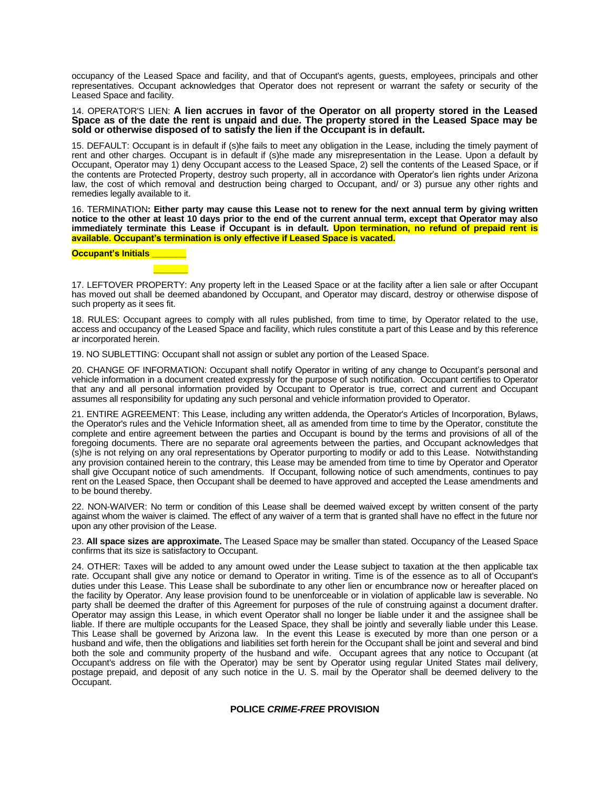occupancy of the Leased Space and facility, and that of Occupant's agents, guests, employees, principals and other representatives. Occupant acknowledges that Operator does not represent or warrant the safety or security of the Leased Space and facility.

## 14. OPERATOR'S LIEN: **A lien accrues in favor of the Operator on all property stored in the Leased Space as of the date the rent is unpaid and due. The property stored in the Leased Space may be sold or otherwise disposed of to satisfy the lien if the Occupant is in default.**

15. DEFAULT: Occupant is in default if (s)he fails to meet any obligation in the Lease, including the timely payment of rent and other charges. Occupant is in default if (s)he made any misrepresentation in the Lease. Upon a default by Occupant, Operator may 1) deny Occupant access to the Leased Space, 2) sell the contents of the Leased Space, or if the contents are Protected Property, destroy such property, all in accordance with Operator's lien rights under Arizona law, the cost of which removal and destruction being charged to Occupant, and/ or 3) pursue any other rights and remedies legally available to it.

16. TERMINATION**: Either party may cause this Lease not to renew for the next annual term by giving written notice to the other at least 10 days prior to the end of the current annual term, except that Operator may also immediately terminate this Lease if Occupant is in default. Upon termination, no refund of prepaid rent is available. Occupant's termination is only effective if Leased Space is vacated.** 

#### **Occupant's Initials \_\_\_\_\_\_\_**



17. LEFTOVER PROPERTY: Any property left in the Leased Space or at the facility after a lien sale or after Occupant has moved out shall be deemed abandoned by Occupant, and Operator may discard, destroy or otherwise dispose of such property as it sees fit.

18. RULES: Occupant agrees to comply with all rules published, from time to time, by Operator related to the use, access and occupancy of the Leased Space and facility, which rules constitute a part of this Lease and by this reference ar incorporated herein.

19. NO SUBLETTING: Occupant shall not assign or sublet any portion of the Leased Space.

20. CHANGE OF INFORMATION: Occupant shall notify Operator in writing of any change to Occupant's personal and vehicle information in a document created expressly for the purpose of such notification. Occupant certifies to Operator that any and all personal information provided by Occupant to Operator is true, correct and current and Occupant assumes all responsibility for updating any such personal and vehicle information provided to Operator.

21. ENTIRE AGREEMENT: This Lease, including any written addenda, the Operator's Articles of Incorporation, Bylaws, the Operator's rules and the Vehicle Information sheet, all as amended from time to time by the Operator, constitute the complete and entire agreement between the parties and Occupant is bound by the terms and provisions of all of the foregoing documents. There are no separate oral agreements between the parties, and Occupant acknowledges that (s)he is not relying on any oral representations by Operator purporting to modify or add to this Lease. Notwithstanding any provision contained herein to the contrary, this Lease may be amended from time to time by Operator and Operator shall give Occupant notice of such amendments. If Occupant, following notice of such amendments, continues to pay rent on the Leased Space, then Occupant shall be deemed to have approved and accepted the Lease amendments and to be bound thereby.

22. NON-WAIVER: No term or condition of this Lease shall be deemed waived except by written consent of the party against whom the waiver is claimed. The effect of any waiver of a term that is granted shall have no effect in the future nor upon any other provision of the Lease.

23. **All space sizes are approximate.** The Leased Space may be smaller than stated. Occupancy of the Leased Space confirms that its size is satisfactory to Occupant.

24. OTHER: Taxes will be added to any amount owed under the Lease subject to taxation at the then applicable tax rate. Occupant shall give any notice or demand to Operator in writing. Time is of the essence as to all of Occupant's duties under this Lease. This Lease shall be subordinate to any other lien or encumbrance now or hereafter placed on the facility by Operator. Any lease provision found to be unenforceable or in violation of applicable law is severable. No party shall be deemed the drafter of this Agreement for purposes of the rule of construing against a document drafter. Operator may assign this Lease, in which event Operator shall no longer be liable under it and the assignee shall be liable. If there are multiple occupants for the Leased Space, they shall be jointly and severally liable under this Lease. This Lease shall be governed by Arizona law. In the event this Lease is executed by more than one person or a husband and wife, then the obligations and liabilities set forth herein for the Occupant shall be joint and several and bind both the sole and community property of the husband and wife. Occupant agrees that any notice to Occupant (at Occupant's address on file with the Operator) may be sent by Operator using regular United States mail delivery, postage prepaid, and deposit of any such notice in the U. S. mail by the Operator shall be deemed delivery to the Occupant.

## **POLICE** *CRIME-FREE* **PROVISION**